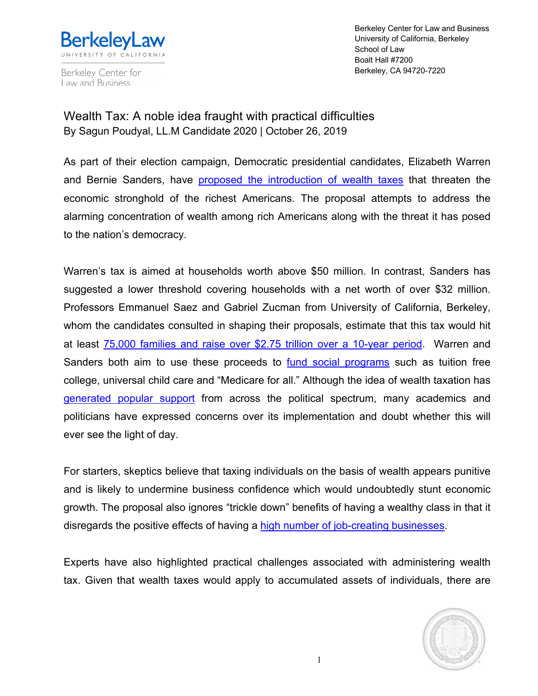

Berkeley Center for Law and Business

Berkeley Center for Law and Business University of California, Berkeley School of Law Boalt Hall #7200 Berkeley, CA 94720-7220

## Wealth Tax: A noble idea fraught with practical difficulties By Sagun Poudyal, LL.M Candidate 2020 | October 26, 2019

As part of their election campaign, Democratic presidential candidates, Elizabeth Warren and Bernie Sanders, have proposed the introduction of wealth taxes that threaten the economic stronghold of the richest Americans. The proposal attempts to address the alarming concentration of wealth among rich Americans along with the threat it has posed to the nation's democracy.

Warren's tax is aimed at households worth above \$50 million. In contrast, Sanders has suggested a lower threshold covering households with a net worth of over \$32 million. Professors Emmanuel Saez and Gabriel Zucman from University of California, Berkeley, whom the candidates consulted in shaping their proposals, estimate that this tax would hit at least 75,000 families and raise over \$2.75 trillion over a 10-year period. Warren and Sanders both aim to use these proceeds to fund social programs such as tuition free college, universal child care and "Medicare for all." Although the idea of wealth taxation has generated popular support from across the political spectrum, many academics and politicians have expressed concerns over its implementation and doubt whether this will ever see the light of day.

For starters, skeptics believe that taxing individuals on the basis of wealth appears punitive and is likely to undermine business confidence which would undoubtedly stunt economic growth. The proposal also ignores "trickle down" benefits of having a wealthy class in that it disregards the positive effects of having a high number of job-creating businesses.

Experts have also highlighted practical challenges associated with administering wealth tax. Given that wealth taxes would apply to accumulated assets of individuals, there are